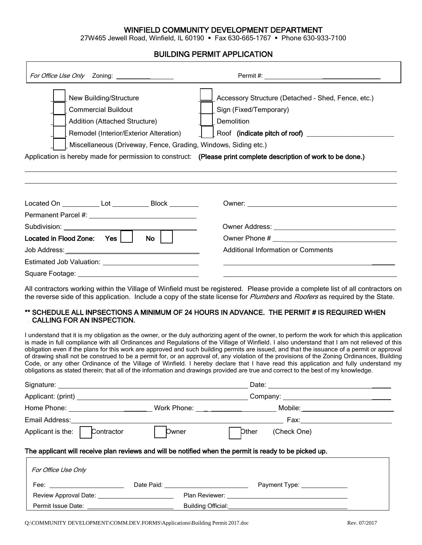## WINFIELD COMMUNITY DEVELOPMENT DEPARTMENT

27W465 Jewell Road, Winfield, IL 60190 Fax 630-665-1767 Phone 630-933-7100

## BUILDING PERMIT APPLICATION

| For Office Use Only Zoning: _________________                                                                                                                                                                                                                                                                        |                                                                                                                                                                                                                                |
|----------------------------------------------------------------------------------------------------------------------------------------------------------------------------------------------------------------------------------------------------------------------------------------------------------------------|--------------------------------------------------------------------------------------------------------------------------------------------------------------------------------------------------------------------------------|
| New Building/Structure<br><b>Commercial Buildout</b><br>Addition (Attached Structure)<br>Remodel (Interior/Exterior Alteration)<br>Miscellaneous (Driveway, Fence, Grading, Windows, Siding etc.)<br>Application is hereby made for permission to construct: (Please print complete description of work to be done.) | Accessory Structure (Detached - Shed, Fence, etc.)<br>Sign (Fixed/Temporary)<br>Demolition                                                                                                                                     |
| Located On ______________ Lot ______________ Block _________                                                                                                                                                                                                                                                         | Owner: when the contract of the contract of the contract of the contract of the contract of the contract of the contract of the contract of the contract of the contract of the contract of the contract of the contract of th |
|                                                                                                                                                                                                                                                                                                                      |                                                                                                                                                                                                                                |
| Subdivision: ________________                                                                                                                                                                                                                                                                                        |                                                                                                                                                                                                                                |
| Located in Flood Zone: Yes<br>No.                                                                                                                                                                                                                                                                                    |                                                                                                                                                                                                                                |
|                                                                                                                                                                                                                                                                                                                      | <b>Additional Information or Comments</b>                                                                                                                                                                                      |
|                                                                                                                                                                                                                                                                                                                      |                                                                                                                                                                                                                                |
|                                                                                                                                                                                                                                                                                                                      |                                                                                                                                                                                                                                |

All contractors working within the Village of Winfield must be registered. Please provide a complete list of all contractors on the reverse side of this application. Include a copy of the state license for *Plumbers* and *Roofers* as required by the State.

#### \*\* SCHEDULE ALL INPSECTIONS A MINIMUM OF 24 HOURS IN ADVANCE. THE PERMIT # IS REQUIRED WHEN CALLING FOR AN INSPECTION.

I understand that it is my obligation as the owner, or the duly authorizing agent of the owner, to perform the work for which this application is made in full compliance with all Ordinances and Regulations of the Village of Winfield. I also understand that I am not relieved of this obligation even if the plans for this work are approved and such building permits are issued, and that the issuance of a permit or approval of drawing shall not be construed to be a permit for, or an approval of, any violation of the provisions of the Zoning Ordinances, Building Code, or any other Ordinance of the Village of Winfield. I hereby declare that I have read this application and fully understand my obligations as stated therein; that all of the information and drawings provided are true and correct to the best of my knowledge.

|                                                                                                                 |                    | Home Phone: __________________________Work Phone: ___________________________Mobile:___ |  |  |  |  |
|-----------------------------------------------------------------------------------------------------------------|--------------------|-----------------------------------------------------------------------------------------|--|--|--|--|
| Email Address: New York Changes and Senator Changes and Senator Changes and Senator Changes and Senator Changes |                    | Fax: ________________________                                                           |  |  |  |  |
| Applicant is the:<br>Contractor                                                                                 | Dwner              | (Check One)<br>Dther                                                                    |  |  |  |  |
| The applicant will receive plan reviews and will be notified when the permit is ready to be picked up.          |                    |                                                                                         |  |  |  |  |
| For Office Use Only                                                                                             |                    |                                                                                         |  |  |  |  |
| Fee: ____________________________                                                                               |                    | Payment Type: _______________                                                           |  |  |  |  |
| Review Approval Date: New York Channels                                                                         |                    |                                                                                         |  |  |  |  |
| Permit Issue Date: ___________                                                                                  | Building Official: |                                                                                         |  |  |  |  |